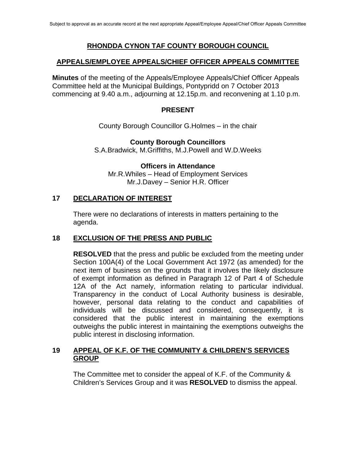## **RHONDDA CYNON TAF COUNTY BOROUGH COUNCIL**

### **APPEALS/EMPLOYEE APPEALS/CHIEF OFFICER APPEALS COMMITTEE**

**Minutes** of the meeting of the Appeals/Employee Appeals/Chief Officer Appeals Committee held at the Municipal Buildings, Pontypridd on 7 October 2013 commencing at 9.40 a.m., adjourning at 12.15p.m. and reconvening at 1.10 p.m.

#### **PRESENT**

County Borough Councillor G.Holmes – in the chair

#### **County Borough Councillors**

S.A.Bradwick, M.Griffiths, M.J.Powell and W.D.Weeks

**Officers in Attendance**  Mr.R.Whiles – Head of Employment Services Mr.J.Davey – Senior H.R. Officer

#### **17 DECLARATION OF INTEREST**

 There were no declarations of interests in matters pertaining to the agenda.

### **18 EXCLUSION OF THE PRESS AND PUBLIC**

**RESOLVED** that the press and public be excluded from the meeting under Section 100A(4) of the Local Government Act 1972 (as amended) for the next item of business on the grounds that it involves the likely disclosure of exempt information as defined in Paragraph 12 of Part 4 of Schedule 12A of the Act namely, information relating to particular individual. Transparency in the conduct of Local Authority business is desirable, however, personal data relating to the conduct and capabilities of individuals will be discussed and considered, consequently, it is considered that the public interest in maintaining the exemptions outweighs the public interest in maintaining the exemptions outweighs the public interest in disclosing information.

### **19 APPEAL OF K.F. OF THE COMMUNITY & CHILDREN'S SERVICES GROUP**

The Committee met to consider the appeal of K.F. of the Community & Children's Services Group and it was **RESOLVED** to dismiss the appeal.